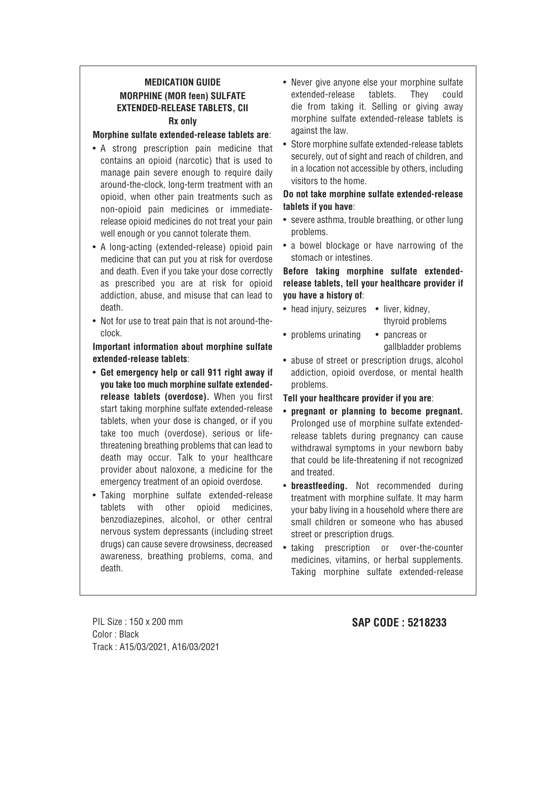## **MEDICATION GUIDE MORPHINE (MOR feen) SULFATE EXTENDED-RELEASE TABLETS, CII Rx only**

#### **Morphine sulfate extended-release tablets are**:

- A strong prescription pain medicine that contains an opioid (narcotic) that is used to manage pain severe enough to require daily around-the-clock, long-term treatment with an opioid, when other pain treatments such as non-opioid pain medicines or immediaterelease opioid medicines do not treat your pain well enough or you cannot tolerate them.
- A long-acting (extended-release) opioid pain medicine that can put you at risk for overdose and death. Even if you take your dose correctly as prescribed you are at risk for opioid addiction, abuse, and misuse that can lead to death.
- Not for use to treat pain that is not around-theclock.

**Important information about morphine sulfate extended-release tablets**:

- **Get emergency help or call 911 right away if you take too much morphine sulfate extendedrelease tablets (overdose).** When you first start taking morphine sulfate extended-release tablets, when your dose is changed, or if you take too much (overdose), serious or lifethreatening breathing problems that can lead to death may occur. Talk to your healthcare provider about naloxone, a medicine for the emergency treatment of an opioid overdose.
- Taking morphine sulfate extended-release tablets with other opioid medicines, benzodiazepines, alcohol, or other central nervous system depressants (including street drugs) can cause severe drowsiness, decreased awareness, breathing problems, coma, and death.
- Never give anyone else your morphine sulfate extended-release tablets. They could die from taking it. Selling or giving away morphine sulfate extended-release tablets is against the law.
- Store morphine sulfate extended-release tablets securely, out of sight and reach of children, and in a location not accessible by others, including visitors to the home.

#### **Do not take morphine sulfate extended-release tablets if you have**:

- severe asthma, trouble breathing, or other lung problems.
- a bowel blockage or have narrowing of the stomach or intestines.

**Before taking morphine sulfate extendedrelease tablets, tell your healthcare provider if you have a history of**:

- head injury, seizures liver, kidney, thyroid problems
- problems urinating pancreas or
- abuse of street or prescription drugs, alcohol addiction, opioid overdose, or mental health problems.

gallbladder problems

#### **Tell your healthcare provider if you are**:

- **pregnant or planning to become pregnant.** Prolonged use of morphine sulfate extendedrelease tablets during pregnancy can cause withdrawal symptoms in your newborn baby that could be life-threatening if not recognized and treated.
- **breastfeeding.** Not recommended during treatment with morphine sulfate. It may harm your baby living in a household where there are small children or someone who has abused street or prescription drugs.
- taking prescription or over-the-counter medicines, vitamins, or herbal supplements. Taking morphine sulfate extended-release

PIL Size : 150 x 200 mm Color : Black Track : A15/03/2021, A16/03/2021

# **SAP CODE : 5218233**